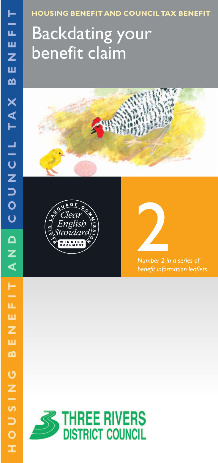**HOUSING BENEFIT AND COUNCIL TAX BENEFIT**

# Backdating your benefit claim







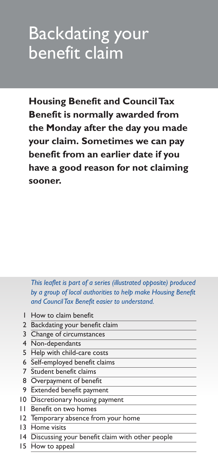## Backdating your benefit claim

**Housing Benefit and Council Tax Benefit is normally awarded from the Monday after the day you made your claim. Sometimes we can pay benefit from an earlier date if you have a good reason for not claiming sooner.**

*This leaflet is part of a series (illustrated opposite) produced by a group of local authorities to help make Housing Benefit and Council Tax Benefit easier to understand.*

- 1 How to claim benefit
- 2 Backdating your benefit claim
- 3 Change of circumstances
- 4 Non-dependants
- 5 Help with child-care costs
- 6 Self-employed benefit claims
- 7 Student benefit claims
- 8 Overpayment of benefit
- 9 Extended benefit payment
- 10 Discretionary housing payment
- 11 Benefit on two homes
- 12 Temporary absence from your home
- 13 Home visits
- 14 Discussing your benefit claim with other people
- 15 How to appeal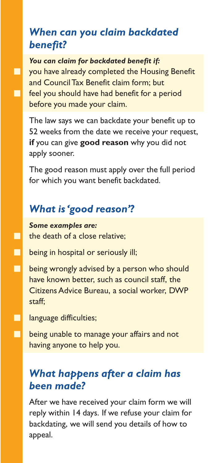#### *When can you claim backdated benefit?*

*You can claim for backdated benefit if:* **T** you have already completed the Housing Benefit and Council Tax Benefit claim form; but **Fig. 3** feel you should have had benefit for a period before you made your claim.

The law says we can backdate your benefit up to 52 weeks from the date we receive your request, **if** you can give **good reason** why you did not apply sooner.

The good reason must apply over the full period for which you want benefit backdated.

### *What is 'good reason'?*

*Some examples are:*  $\Box$  the death of a close relative;

- **being in hospital or seriously ill;**
- **being wrongly advised by a person who should** have known better, such as council staff, the Citizens Advice Bureau, a social worker, DWP staff;

**language difficulties;** 

**being unable to manage your affairs and not** having anyone to help you.

### *What happens after a claim has been made?*

After we have received your claim form we will reply within 14 days. If we refuse your claim for backdating, we will send you details of how to appeal.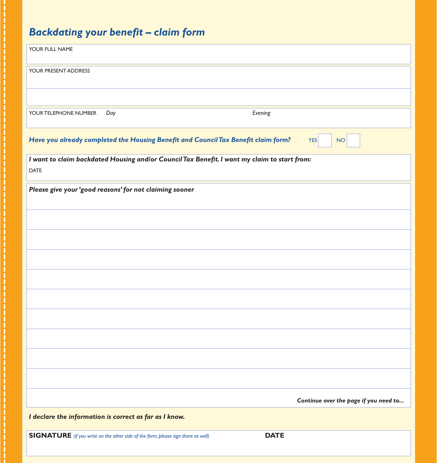#### *Backdating your benefit – claim form*

| Backdating your benefit – claim form                                                                          |  |
|---------------------------------------------------------------------------------------------------------------|--|
| YOUR FULL NAME                                                                                                |  |
| YOUR PRESENT ADDRESS                                                                                          |  |
|                                                                                                               |  |
| Evening<br>Day<br>YOUR TELEPHONE NUMBER                                                                       |  |
| Have you already completed the Housing Benefit and Council Tax Benefit claim form?<br><b>YES</b><br><b>NO</b> |  |
| I want to claim backdated Housing and/or Council Tax Benefit. I want my claim to start from:<br>DATE          |  |
| Please give your 'good reasons' for not claiming sooner                                                       |  |
|                                                                                                               |  |
|                                                                                                               |  |
|                                                                                                               |  |
|                                                                                                               |  |
|                                                                                                               |  |
|                                                                                                               |  |
|                                                                                                               |  |
|                                                                                                               |  |
| Continue over the page if you need to                                                                         |  |
| I declare the information is correct as far as I know.                                                        |  |
| <b>DATE</b><br><b>SIGNATURE</b> (if you write on the other side of the form, please sign there as well)       |  |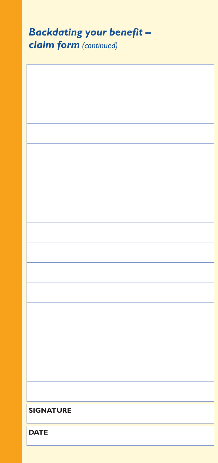| <b>Backdating your benefit -</b><br><b>claim form</b> (continued) |  |
|-------------------------------------------------------------------|--|
|                                                                   |  |
|                                                                   |  |
|                                                                   |  |
|                                                                   |  |
|                                                                   |  |
|                                                                   |  |
|                                                                   |  |
|                                                                   |  |
|                                                                   |  |
|                                                                   |  |
|                                                                   |  |
|                                                                   |  |
|                                                                   |  |
|                                                                   |  |
|                                                                   |  |
|                                                                   |  |
| <b>SIGNATURE</b>                                                  |  |
| <b>DATE</b>                                                       |  |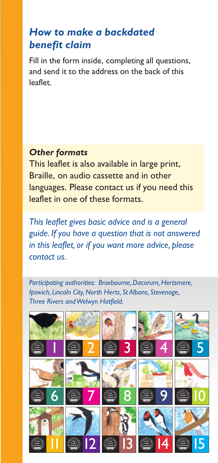#### *How to make a backdated benefit claim*

Fill in the form inside, completing all questions, and send it to the address on the back of this leaflet.

#### *Other formats*

This leaflet is also available in large print, Braille, on audio cassette and in other languages. Please contact us if you need this leaflet in one of these formats.

*This leaflet gives basic advice and is a general guide. If you have a question that is not answered in this leaflet, or if you want more advice, please contact us.*

*Participating authorities: Broxbourne, Dacorum, Hertsmere, Ipswich, Lincoln City, North Herts, St Albans, Stevenage, Three Rivers and Welwyn Hatfield.*